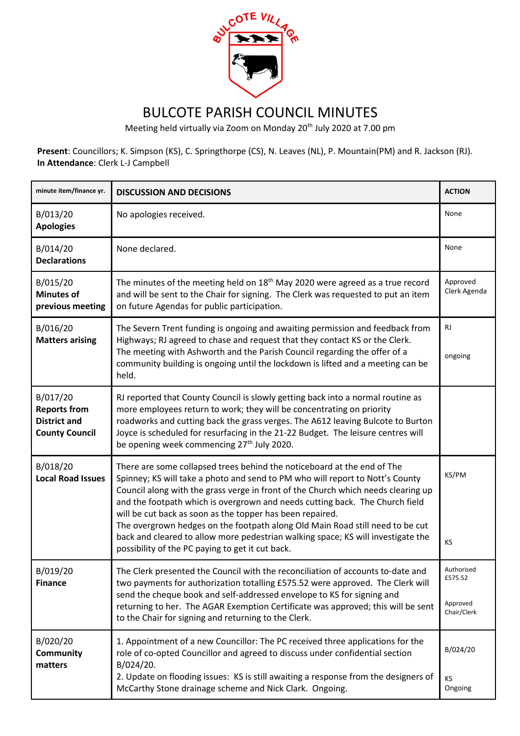

## BULCOTE PARISH COUNCIL MINUTES

Meeting held virtually via Zoom on Monday 20<sup>th</sup> July 2020 at 7.00 pm

**Present**: Councillors; K. Simpson (KS), C. Springthorpe (CS), N. Leaves (NL), P. Mountain(PM) and R. Jackson (RJ). **In Attendance**: Clerk L-J Campbell

| minute item/finance yr.                                                         | <b>DISCUSSION AND DECISIONS</b>                                                                                                                                                                                                                                                                                                                                                                                                                                                                                                                                                                                     | <b>ACTION</b>                                    |
|---------------------------------------------------------------------------------|---------------------------------------------------------------------------------------------------------------------------------------------------------------------------------------------------------------------------------------------------------------------------------------------------------------------------------------------------------------------------------------------------------------------------------------------------------------------------------------------------------------------------------------------------------------------------------------------------------------------|--------------------------------------------------|
| B/013/20<br><b>Apologies</b>                                                    | No apologies received.                                                                                                                                                                                                                                                                                                                                                                                                                                                                                                                                                                                              | None                                             |
| B/014/20<br><b>Declarations</b>                                                 | None declared.                                                                                                                                                                                                                                                                                                                                                                                                                                                                                                                                                                                                      | None                                             |
| B/015/20<br><b>Minutes of</b><br>previous meeting                               | The minutes of the meeting held on $18th$ May 2020 were agreed as a true record<br>and will be sent to the Chair for signing. The Clerk was requested to put an item<br>on future Agendas for public participation.                                                                                                                                                                                                                                                                                                                                                                                                 | Approved<br>Clerk Agenda                         |
| B/016/20<br><b>Matters arising</b>                                              | The Severn Trent funding is ongoing and awaiting permission and feedback from<br>Highways; RJ agreed to chase and request that they contact KS or the Clerk.<br>The meeting with Ashworth and the Parish Council regarding the offer of a<br>community building is ongoing until the lockdown is lifted and a meeting can be<br>held.                                                                                                                                                                                                                                                                               | RJ.<br>ongoing                                   |
| B/017/20<br><b>Reports from</b><br><b>District and</b><br><b>County Council</b> | RJ reported that County Council is slowly getting back into a normal routine as<br>more employees return to work; they will be concentrating on priority<br>roadworks and cutting back the grass verges. The A612 leaving Bulcote to Burton<br>Joyce is scheduled for resurfacing in the 21-22 Budget. The leisure centres will<br>be opening week commencing 27 <sup>th</sup> July 2020.                                                                                                                                                                                                                           |                                                  |
| B/018/20<br><b>Local Road Issues</b>                                            | There are some collapsed trees behind the noticeboard at the end of The<br>Spinney; KS will take a photo and send to PM who will report to Nott's County<br>Council along with the grass verge in front of the Church which needs clearing up<br>and the footpath which is overgrown and needs cutting back. The Church field<br>will be cut back as soon as the topper has been repaired.<br>The overgrown hedges on the footpath along Old Main Road still need to be cut<br>back and cleared to allow more pedestrian walking space; KS will investigate the<br>possibility of the PC paying to get it cut back. | KS/PM<br>KS                                      |
| B/019/20<br><b>Finance</b>                                                      | The Clerk presented the Council with the reconciliation of accounts to-date and<br>two payments for authorization totalling £575.52 were approved. The Clerk will<br>send the cheque book and self-addressed envelope to KS for signing and<br>returning to her. The AGAR Exemption Certificate was approved; this will be sent<br>to the Chair for signing and returning to the Clerk.                                                                                                                                                                                                                             | Authorised<br>£575.52<br>Approved<br>Chair/Clerk |
| B/020/20<br><b>Community</b><br>matters                                         | 1. Appointment of a new Councillor: The PC received three applications for the<br>role of co-opted Councillor and agreed to discuss under confidential section<br>B/024/20.<br>2. Update on flooding issues: KS is still awaiting a response from the designers of<br>McCarthy Stone drainage scheme and Nick Clark. Ongoing.                                                                                                                                                                                                                                                                                       | B/024/20<br>KS.<br>Ongoing                       |